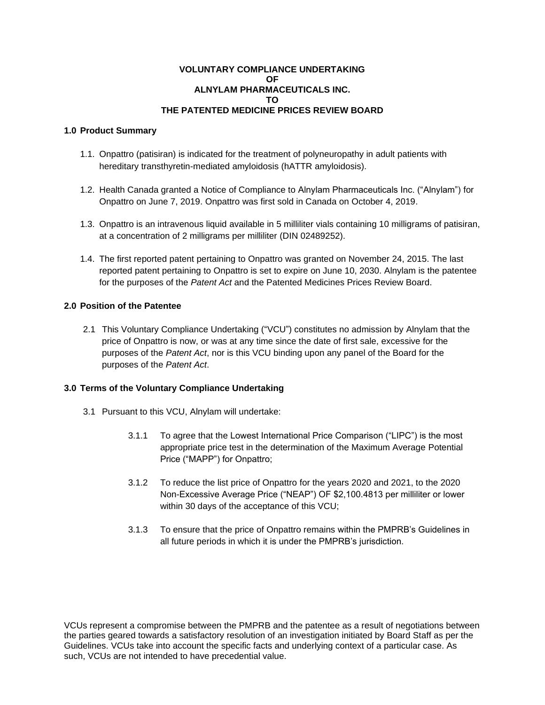## **VOLUNTARY COMPLIANCE UNDERTAKING OF ALNYLAM PHARMACEUTICALS INC. TO THE PATENTED MEDICINE PRICES REVIEW BOARD**

## **1.0 Product Summary**

- 1.1. Onpattro (patisiran) is indicated for the treatment of polyneuropathy in adult patients with hereditary transthyretin-mediated amyloidosis (hATTR amyloidosis).
- 1.2. Health Canada granted a Notice of Compliance to Alnylam Pharmaceuticals Inc. ("Alnylam") for Onpattro on June 7, 2019. Onpattro was first sold in Canada on October 4, 2019.
- 1.3. Onpattro is an intravenous liquid available in 5 milliliter vials containing 10 milligrams of patisiran, at a concentration of 2 milligrams per milliliter (DIN 02489252).
- 1.4. The first reported patent pertaining to Onpattro was granted on November 24, 2015. The last reported patent pertaining to Onpattro is set to expire on June 10, 2030. Alnylam is the patentee for the purposes of the *Patent Act* and the Patented Medicines Prices Review Board.

## **2.0 Position of the Patentee**

2.1 This Voluntary Compliance Undertaking ("VCU") constitutes no admission by Alnylam that the price of Onpattro is now, or was at any time since the date of first sale, excessive for the purposes of the *Patent Act*, nor is this VCU binding upon any panel of the Board for the purposes of the *Patent Act*.

## **3.0 Terms of the Voluntary Compliance Undertaking**

- 3.1 Pursuant to this VCU, Alnylam will undertake:
	- 3.1.1 To agree that the Lowest International Price Comparison ("LIPC") is the most appropriate price test in the determination of the Maximum Average Potential Price ("MAPP") for Onpattro;
	- 3.1.2 To reduce the list price of Onpattro for the years 2020 and 2021, to the 2020 Non-Excessive Average Price ("NEAP") OF \$2,100.4813 per milliliter or lower within 30 days of the acceptance of this VCU;
	- 3.1.3 To ensure that the price of Onpattro remains within the PMPRB's Guidelines in all future periods in which it is under the PMPRB's jurisdiction.

VCUs represent a compromise between the PMPRB and the patentee as a result of negotiations between the parties geared towards a satisfactory resolution of an investigation initiated by Board Staff as per the Guidelines. VCUs take into account the specific facts and underlying context of a particular case. As such, VCUs are not intended to have precedential value.